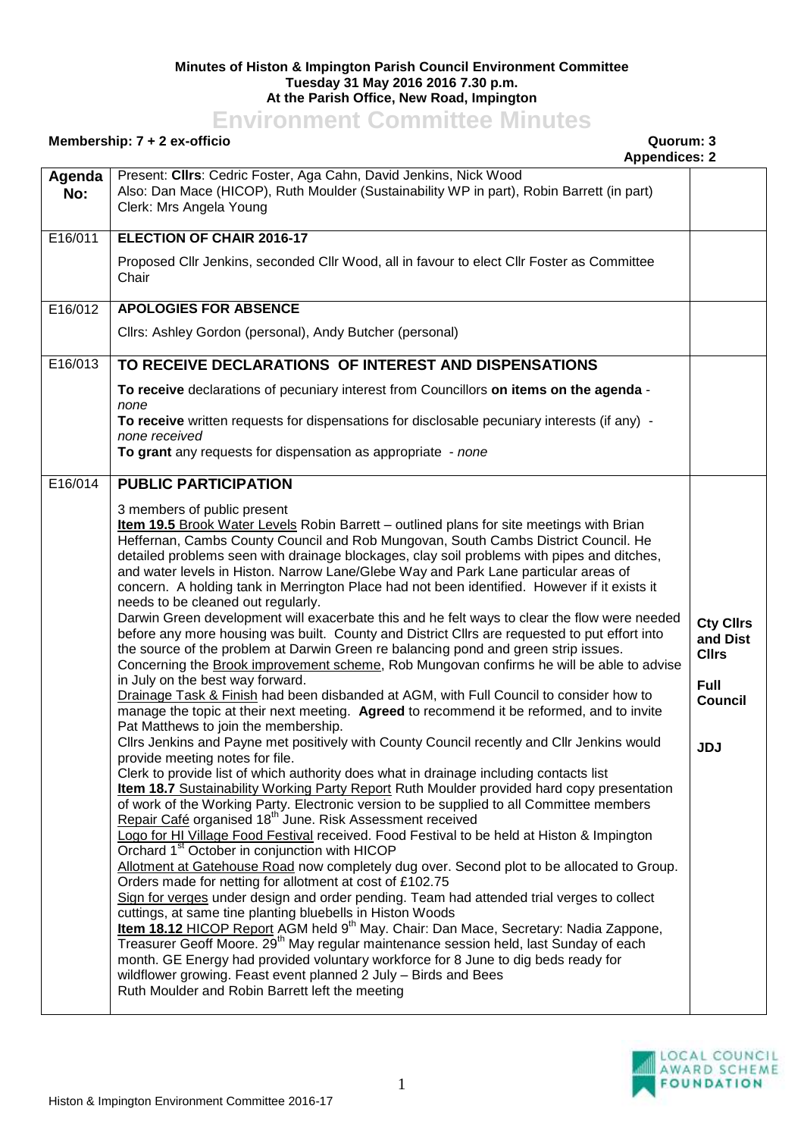## **Minutes of Histon & Impington Parish Council Environment Committee Tuesday 31 May 2016 2016 7.30 p.m. At the Parish Office, New Road, Impington**

## **Environment Committee Minutes**

## **Membership: 7 + 2 ex-officio Quorum: 3**

**Appendices: 2**

|               | Appendices. Z                                                                                                                                                                             |                  |
|---------------|-------------------------------------------------------------------------------------------------------------------------------------------------------------------------------------------|------------------|
| Agenda<br>No: | Present: Cllrs: Cedric Foster, Aga Cahn, David Jenkins, Nick Wood<br>Also: Dan Mace (HICOP), Ruth Moulder (Sustainability WP in part), Robin Barrett (in part)<br>Clerk: Mrs Angela Young |                  |
| E16/011       | <b>ELECTION OF CHAIR 2016-17</b>                                                                                                                                                          |                  |
|               | Proposed Cllr Jenkins, seconded Cllr Wood, all in favour to elect Cllr Foster as Committee<br>Chair                                                                                       |                  |
| E16/012       | <b>APOLOGIES FOR ABSENCE</b>                                                                                                                                                              |                  |
|               | Cllrs: Ashley Gordon (personal), Andy Butcher (personal)                                                                                                                                  |                  |
| E16/013       | TO RECEIVE DECLARATIONS OF INTEREST AND DISPENSATIONS                                                                                                                                     |                  |
|               | To receive declarations of pecuniary interest from Councillors on items on the agenda -<br>none                                                                                           |                  |
|               | To receive written requests for dispensations for disclosable pecuniary interests (if any) -<br>none received                                                                             |                  |
|               | To grant any requests for dispensation as appropriate - none                                                                                                                              |                  |
| E16/014       | <b>PUBLIC PARTICIPATION</b>                                                                                                                                                               |                  |
|               | 3 members of public present                                                                                                                                                               |                  |
|               | Item 19.5 Brook Water Levels Robin Barrett - outlined plans for site meetings with Brian                                                                                                  |                  |
|               | Heffernan, Cambs County Council and Rob Mungovan, South Cambs District Council. He                                                                                                        |                  |
|               | detailed problems seen with drainage blockages, clay soil problems with pipes and ditches,                                                                                                |                  |
|               | and water levels in Histon. Narrow Lane/Glebe Way and Park Lane particular areas of<br>concern. A holding tank in Merrington Place had not been identified. However if it exists it       |                  |
|               | needs to be cleaned out regularly.                                                                                                                                                        |                  |
|               | Darwin Green development will exacerbate this and he felt ways to clear the flow were needed                                                                                              | <b>Cty Cllrs</b> |
|               | before any more housing was built. County and District Cllrs are requested to put effort into                                                                                             | and Dist         |
|               | the source of the problem at Darwin Green re balancing pond and green strip issues.                                                                                                       | <b>Cllrs</b>     |
|               | Concerning the Brook improvement scheme, Rob Mungovan confirms he will be able to advise                                                                                                  |                  |
|               | in July on the best way forward.                                                                                                                                                          | <b>Full</b>      |
|               | Drainage Task & Finish had been disbanded at AGM, with Full Council to consider how to<br>manage the topic at their next meeting. Agreed to recommend it be reformed, and to invite       | <b>Council</b>   |
|               | Pat Matthews to join the membership.                                                                                                                                                      |                  |
|               | Cllrs Jenkins and Payne met positively with County Council recently and Cllr Jenkins would                                                                                                | <b>JDJ</b>       |
|               | provide meeting notes for file.                                                                                                                                                           |                  |
|               | Clerk to provide list of which authority does what in drainage including contacts list                                                                                                    |                  |
|               | Item 18.7 Sustainability Working Party Report Ruth Moulder provided hard copy presentation                                                                                                |                  |
|               | of work of the Working Party. Electronic version to be supplied to all Committee members<br>Repair Café organised 18 <sup>th</sup> June. Risk Assessment received                         |                  |
|               | Logo for HI Village Food Festival received. Food Festival to be held at Histon & Impington                                                                                                |                  |
|               | Orchard 1 <sup>st</sup> October in conjunction with HICOP                                                                                                                                 |                  |
|               | Allotment at Gatehouse Road now completely dug over. Second plot to be allocated to Group.                                                                                                |                  |
|               | Orders made for netting for allotment at cost of £102.75                                                                                                                                  |                  |
|               | Sign for verges under design and order pending. Team had attended trial verges to collect                                                                                                 |                  |
|               | cuttings, at same tine planting bluebells in Histon Woods<br>Item 18.12 HICOP Report AGM held 9 <sup>th</sup> May. Chair: Dan Mace, Secretary: Nadia Zappone,                             |                  |
|               | Treasurer Geoff Moore. 29 <sup>th</sup> May regular maintenance session held, last Sunday of each                                                                                         |                  |
|               | month. GE Energy had provided voluntary workforce for 8 June to dig beds ready for                                                                                                        |                  |
|               | wildflower growing. Feast event planned 2 July - Birds and Bees                                                                                                                           |                  |
|               | Ruth Moulder and Robin Barrett left the meeting                                                                                                                                           |                  |
|               |                                                                                                                                                                                           |                  |

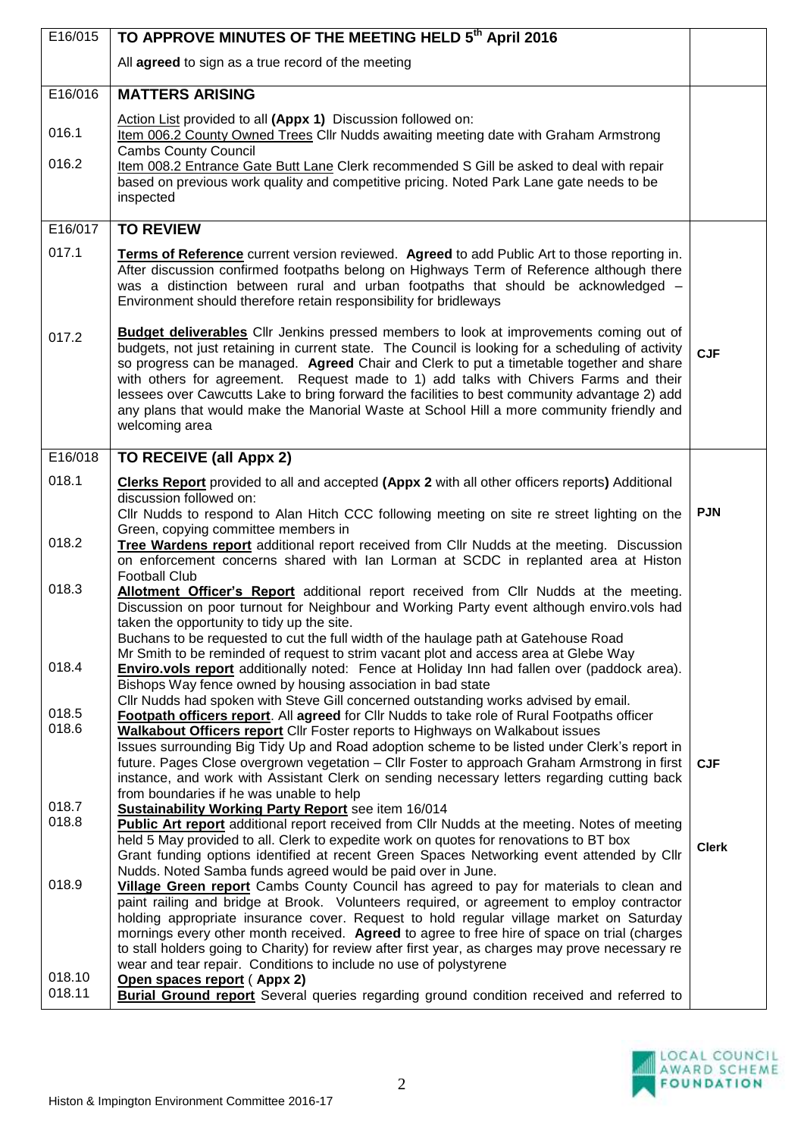| E16/015          | TO APPROVE MINUTES OF THE MEETING HELD 5th April 2016                                                                                                                                                                                                                                                                                                                                                                                                                                                                                                                                                  |              |
|------------------|--------------------------------------------------------------------------------------------------------------------------------------------------------------------------------------------------------------------------------------------------------------------------------------------------------------------------------------------------------------------------------------------------------------------------------------------------------------------------------------------------------------------------------------------------------------------------------------------------------|--------------|
|                  | All agreed to sign as a true record of the meeting                                                                                                                                                                                                                                                                                                                                                                                                                                                                                                                                                     |              |
| E16/016          | <b>MATTERS ARISING</b>                                                                                                                                                                                                                                                                                                                                                                                                                                                                                                                                                                                 |              |
| 016.1            | Action List provided to all (Appx 1) Discussion followed on:<br>Item 006.2 County Owned Trees Cllr Nudds awaiting meeting date with Graham Armstrong<br><b>Cambs County Council</b>                                                                                                                                                                                                                                                                                                                                                                                                                    |              |
| 016.2            | Item 008.2 Entrance Gate Butt Lane Clerk recommended S Gill be asked to deal with repair<br>based on previous work quality and competitive pricing. Noted Park Lane gate needs to be<br>inspected                                                                                                                                                                                                                                                                                                                                                                                                      |              |
| E16/017          | <b>TO REVIEW</b>                                                                                                                                                                                                                                                                                                                                                                                                                                                                                                                                                                                       |              |
| 017.1            | Terms of Reference current version reviewed. Agreed to add Public Art to those reporting in.<br>After discussion confirmed footpaths belong on Highways Term of Reference although there<br>was a distinction between rural and urban footpaths that should be acknowledged -<br>Environment should therefore retain responsibility for bridleways                                                                                                                                                                                                                                                     |              |
| 017.2            | <b>Budget deliverables</b> Cllr Jenkins pressed members to look at improvements coming out of<br>budgets, not just retaining in current state. The Council is looking for a scheduling of activity<br>so progress can be managed. Agreed Chair and Clerk to put a timetable together and share<br>with others for agreement. Request made to 1) add talks with Chivers Farms and their<br>lessees over Cawcutts Lake to bring forward the facilities to best community advantage 2) add<br>any plans that would make the Manorial Waste at School Hill a more community friendly and<br>welcoming area | <b>CJF</b>   |
| E16/018          | TO RECEIVE (all Appx 2)                                                                                                                                                                                                                                                                                                                                                                                                                                                                                                                                                                                |              |
| 018.1            | <b>Clerks Report</b> provided to all and accepted (Appx 2 with all other officers reports) Additional<br>discussion followed on:<br>CIIr Nudds to respond to Alan Hitch CCC following meeting on site re street lighting on the                                                                                                                                                                                                                                                                                                                                                                        | <b>PJN</b>   |
| 018.2            | Green, copying committee members in<br>Tree Wardens report additional report received from Cllr Nudds at the meeting. Discussion<br>on enforcement concerns shared with Ian Lorman at SCDC in replanted area at Histon<br><b>Football Club</b>                                                                                                                                                                                                                                                                                                                                                         |              |
| 018.3            | Allotment Officer's Report additional report received from Cllr Nudds at the meeting.<br>Discussion on poor turnout for Neighbour and Working Party event although enviro.vols had<br>taken the opportunity to tidy up the site.<br>Buchans to be requested to cut the full width of the haulage path at Gatehouse Road                                                                                                                                                                                                                                                                                |              |
| 018.4            | Mr Smith to be reminded of request to strim vacant plot and access area at Glebe Way<br><b>Enviro.vols report</b> additionally noted: Fence at Holiday Inn had fallen over (paddock area).<br>Bishops Way fence owned by housing association in bad state                                                                                                                                                                                                                                                                                                                                              |              |
| 018.5<br>018.6   | CIIr Nudds had spoken with Steve Gill concerned outstanding works advised by email.<br>Footpath officers report. All agreed for Cllr Nudds to take role of Rural Footpaths officer<br>Walkabout Officers report Cllr Foster reports to Highways on Walkabout issues<br>Issues surrounding Big Tidy Up and Road adoption scheme to be listed under Clerk's report in                                                                                                                                                                                                                                    |              |
|                  | future. Pages Close overgrown vegetation - Cllr Foster to approach Graham Armstrong in first<br>instance, and work with Assistant Clerk on sending necessary letters regarding cutting back<br>from boundaries if he was unable to help                                                                                                                                                                                                                                                                                                                                                                | <b>CJF</b>   |
| 018.7<br>018.8   | <b>Sustainability Working Party Report</b> see item 16/014<br>Public Art report additional report received from Cllr Nudds at the meeting. Notes of meeting<br>held 5 May provided to all. Clerk to expedite work on quotes for renovations to BT box<br>Grant funding options identified at recent Green Spaces Networking event attended by Cllr<br>Nudds. Noted Samba funds agreed would be paid over in June.                                                                                                                                                                                      | <b>Clerk</b> |
| 018.9            | Village Green report Cambs County Council has agreed to pay for materials to clean and<br>paint railing and bridge at Brook. Volunteers required, or agreement to employ contractor<br>holding appropriate insurance cover. Request to hold regular village market on Saturday<br>mornings every other month received. Agreed to agree to free hire of space on trial (charges<br>to stall holders going to Charity) for review after first year, as charges may prove necessary re<br>wear and tear repair. Conditions to include no use of polystyrene                                               |              |
| 018.10<br>018.11 | Open spaces report (Appx 2)<br><b>Burial Ground report</b> Several queries regarding ground condition received and referred to                                                                                                                                                                                                                                                                                                                                                                                                                                                                         |              |